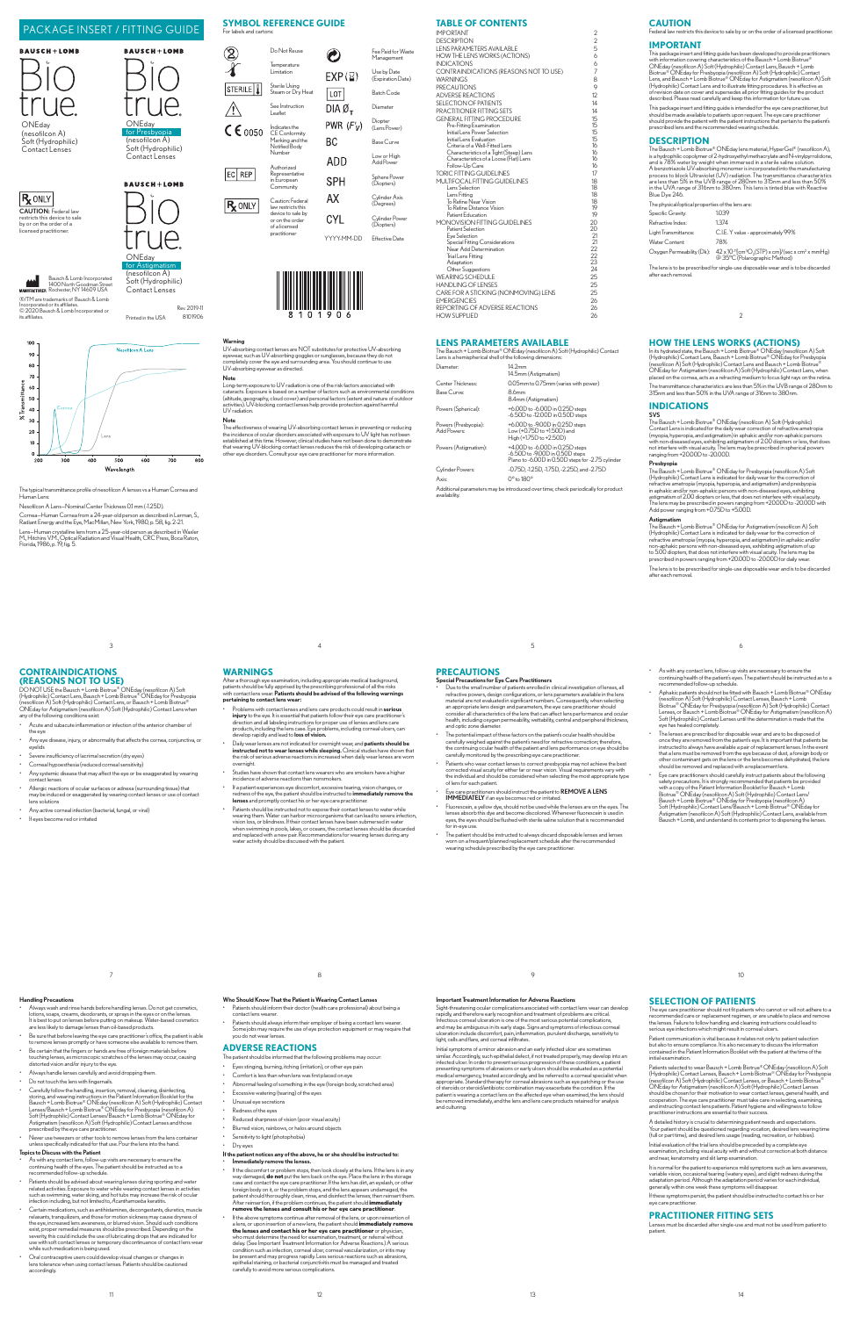### **CAUTION**

ts this device to sale by or on the order of a licensed practitioner.

### **IMPORTANT**

This package insert and fitting guide has been developed to provide practitioners<br>with information covering characteristics of the Bausch + Lomb Biotrue®<br>CONEday (nesofilicon A) Soft (Hydrophilic) Contact Lens, Bausch + Lo

.<br>Should be made available to patients upon request. The eye care practitioner, but<br>should provide the patient with the patient instructions that pertaritioner<br>should provide the patient with the patient instructions that prescribed lens and the recommended wearing schedule.

The Bausch + Lomb Biotrue® ONEday lens material, HyperGel® (nesofilcon A), is a hydrophilic copolymer of 2-hydroxyethyl methacrylate and N-vinylbyrrolidone, and is 78% water by weight when immersed in a sterile saline solution.<br>A berzotriazole UV-absorbing monomer is incorporated into the manufac

The physical/optical properties of the lens are: Specific Gravity: 1.039 Refractive Index: 1.374 Light Transmittance: C.I.E. Y value - approximately 99% Water Content: 78% Oxygen Permeability (Dk):  $42 \times 10^{-11}$ [cm<sup>3</sup>O<sub>2</sub>(STP) x cm]/(sec x cm<sup>2</sup> x mmHg)<br>@ 35°C (Polarographic Method)

 $\mathbf{m}$ 1400 North Goodman Street Rochester, NY 14609 USA

### **DESCRIPTION**

Cornea—Human Cornea from a 24-year-old person as described in Lerman, S., Radiant Energy and the Eye, MacMillan, New York, 1980, p. 58, fig. 2-21. Lens—Human crystalline lens from a 25-year-old person as described in Waxler<br>M., Hitchins V.M., Optical Radiation and Visual Health, CRC Press, Boca Raton,<br>Florida, 1986, p. 19, fig. 5.

The lens is to be prescribed for single-use disposable wear and is to be discarded

®/TM are trademarks of Bausch & Lomb Incorporated or its affiliates. © 2020 Bausch & Lomb Incorporated or its affiliates.

100 **Nesofilcon A Lens** 90 80 70 60 50  $40$  $30$  $20$ 



# **TABLE OF CONTENTS**

The Bausch + Lomb Biotrue® ONEday (nesofilcon A) Soft (Hydrophilic) Contact Lens is a hemispherical shell of the following dimensions: Diameter: 14.2mm 14.5mm (Astigmatism) Center Thickness: 0.05mm to 0.75mm (varies with pow Base Curve 8.4mm (Astigmatism) Powers (Spherical): +6.00D to -6.00D in 0.25D steps -6.50D to -12.00D in 0.50D steps Powers (Presbyopia): +6.00D to -9.00D in 0.25D steps<br>Add Powers: Low (+0.75D to +1.50D) and Add Powers: Low (+0.75D to +1.50D) and High (+1.75D to +2.50D) Powers (Astigmatism): +4.00D to -6.00D in 0.25D steps -6.50D to -9.00D in 0.50D steps Plano to -6.00D in 0.50D steps for -2.75 cylinder Cylinder Powers: -0.75D, -1.25D, -1.75D, -2.25D, and -2.75D Axis: 0° to 180° Additional parameters may be introduced over time; check periodically for product

**availability** 

**PRECAUTIONS**<br>
Special Precautions for Eye Care Practitioners<br>
Cute to the small number of patients enrolled in clinical investigation of lenses, all<br>
refractive powers, design configurations, or lens parameters available

In its hydrated state, the Bausch + Lomb Biotrue® ONEday (nesofilcon A) Soft<br>(Hydrophilic) Contact Lens, Bausch + Lomb Biotrue® ONEday for Presbyopia<br>(nesofilcon A) Soft (Hydrophilic) Contact Lens and Bausch + Lomb Biotrue The transmittance characteristics are less than 5% in the UVB range of 280nm to 315nm and less than 50% in the UVA range of 316nm to 380nm.

The typical transmittance profile of nesofilcon A lenses vs a Human Cornea and Human Lens:

Nesofilcon A Lens—Nominal Center Thickness 0.1 mm (-1.25D).

**Astigmatism**<br>The Bausch + Lomb Biotrue® ONEday for Astigmatism (nesofilcon A) Soft<br>(Hydrophilic) Contact Lens is indicated for daily wear for the correction of<br>refractive ametropia (myopia, hyperopia, and astigmatism) in The lens is to be prescribed for single-use disposable wear and is to be discarded after each removal.

Note

DO NOT USE the Bausch + Lomb Biotrue® ONEday (nesofilcon A) Soft<br>(Hydrophilic) Contact Lens, Bausch + Lomb Biotrue® ONEday for Presbyopia<br>(nesofilcon A) Soft (Hydrophilic) Contact Lens, or Bausch + Lomb Biotrue® ONEday for Astigmatism (nesofilcon A) Soft (Hydrophilic) Contact Lens when any of the following conditions exist:

- Acute and subacute inflammation or infection of the anterior chamber of the eye
- Any eye disease, injury, or abnormality that affects the cornea, conjunctiva, or evelids
- Severe insufficiency of lacrimal secretion (dry eyes)
- Corneal hypoesthesia (reduced corneal sensitivity) Any systemic disease that may affect the eye or be exaggerated by wearing contact lenses
- Allergic reactions of ocular surfaces or adnexa (surrounding tissue) that may be induced or exaggerated by wearing contact lenses or use of contact lens solutions
- Any active corneal infection (bacterial, fungal, or viral)
- If eyes become red or irritated

Long-term exposure to UV radiation is one of the risk factors associated with cataracts. Exposure is based on a number of factors such as environmental conditions (altitude, geography, cloud cover) and personal factors (extent and nature of outdoor activities). UV-blocking contact lenses help provide protection against harmful UV radiation.

### Note

The effectiveness of wearing UV-absorbing contact lenses in preventing or reducing<br>the incidence of ocular råssords associated with exposure to UV light has not been<br>testablished at this time. However, clinical studies hav

After a thorough eye examination, including appropriate medical background,<br>patients should be fully apprised by the prescribing professional of all the risks<br>with contact lens wear. **Patients should be advised of the foll** 

### **LENS PARAMETERS AVAILABLE**

### **HOW THE LENS WORKS (ACTIONS)**

- The potential impact of these factors on the patient's ocular health should be<br>carefully weighed against the patient's need for refractive correction; therefore,<br>the continuing ocular health of the patient and lens perform
- Patients who wear contact lenses to correct presbyopia may not achieve the best<br>corrected visual acuity for either far or near vision. Visual requirements vary with<br>the individual and should be considered when selecting of lens for each patient.
- Eye care practitioners should instruct the patient to REMOVE A LENS<br>IMMEDIATELY if an eye becomes red or irritated.
- Fluorescein, a yellow dye, should not be used while the lenses are on the eyes. The<br>lenses absorb this dye and become discolored. Whenever fluorescein is used in<br>eyes, the eyes should be flushed with sterile saline solutio The patient should be instructed to always discard disposable lenses and lenses
- worn on a frequent/planned replacement schedule after the recommended wearing schedule prescribed by the eye care practitioner.

### **INDICATIONS** SVS

The Bausch + Lomb Biotrue® ONEday (nesofilcon A) Soft (Hydrophilic)<br>Contact Lens is indicated for the daily wear correction of refractive ametropia<br>(myopia, hyperopia, and astigmatism) in aphakic and/or non-aphakic persons

### Presbyopia

The Bausch + Lomb Biotrue<sup>®</sup> ONEday for Presbyopia (nesoficon A) Soft<br>(Hydrophilic) Contact Lens is indicated for daily wear for the correction of<br>refractive ametropia (myopia, hyperopia, and astignatism) and presbyopia<br>in

### **CONTRAINDICATIONS (REASONS NOT TO USE)**

- As with any contact lens, follow-up visits are necessary to ensure the continuing health of the eyes. The patient should be instructed as to a recommended follow-up schedule.
- hts should be advised about wearing lenses during sporting and water related activities. Exposure to water while wearing contact lenses in activities<br>such as swimming, water skiing, and hot tubs may increase the risk of ocular<br>infection including, but not limited to, Acanthamoeba keratitis.
- Certain medications, such as antihistamines, decongestants, diuretics, muscle<br>relaxants, tranquilizers, and those for motion sickness may cause dryness of<br>the eye, increased lens awareness, or blurred vision. Should such c
- Oral contraceptive users could develop visual changes or changes in<br>lens tolerance when using contact lenses. Patients should be cautione accordingly.

### If the patient notices any of the above, he or she should be instructed to: enconcrease of the lenses.

**WARNINGS**

- If the discomfort or problem stops, then look closely at the lens. If the lens is in any way damaged, **do not** put the lens back on the eye. Place the lens in the storage<br>case and contact the eye care practitioner. If the lens has dirt, an eyelash, or other<br>foreign body on it, or the problem stops, and the len After reinsertion, if the problem continues, the patient should **immediately remove the lenses and consult his or her eye care practitioner**.
- • If the above symptoms continue afterremoval of the lens, or upon reinsertion of a lens, or upon insertion of a new lens, the patient should **immediately remove the lenses and contact his or her eye care practitioner** or physician, who must determine the need for examination, treatment, or referral without delay. (See Important Treatment Information for Adverse Reactions.) A serious condition such as infection, corneal ulcer, corneal vascularization, or iritis may be present and may progress rapidly. Less serious reactions such as abrasions, epithelial staining, or bacterial conjunctivitis must be managed and treated carefully to avoid more serious complications.

overnight.

incidence of adverse reactions than nonsmokers.

Patient communication is vital because it relates not only to patient selection<br>but also to ensure compliance. It is also necessary to discuss the information<br>contained in the Patient Information Booklet with the patient a but also to ensure compliance. It is also necessary to discuss the information contained in the Patient Information Booklet with the patient at the time of the initial examination.

Patients selected to wear Bausch + Lomb Biotrue® ONEday (nesofiicon A) Soft<br>(Hydrophilic) Contact Lenses, Bausch + Lomb Biotrue® ONEday for Presbyopia<br>(nesofiicon A) Soft (Hydrophilic) Contact Lenses, or Bausch + Lomb Biot

.<br>Your patient should be questioned reparding vocation, desined lens wearing time<br>Your patient should be questioned regarding vocation, desined lens wearing time<br>(full or part time), and desired lens usage (reading, recrea

It is normal for the patient to experience mild symptoms such as lens awaren variable vision, occasional tearing (watery eyes), and slight redness during the adaptation period. Although the adaptation period varies for each individual, generally within one week these symptoms will disappear.

**Warning**<br>UV-absorbing contact lenses are NOT substitutes for protective UV-absorbing<br>eyewear, such as UV-absorbing goggles or sunglasses, because they do not<br>completely cover the eye and surrounding area. You should conti

oft (Hydrophilic) Contact Lenses

|                                                                                    | <b>AGE INSERT / FITTING GUIDE</b> |                         | JI MBUL KEI EKENGE UUIDE                     |                                |                              | IADLL VI CONTENTS                                        |              | ------                                                                                        |                                       |
|------------------------------------------------------------------------------------|-----------------------------------|-------------------------|----------------------------------------------|--------------------------------|------------------------------|----------------------------------------------------------|--------------|-----------------------------------------------------------------------------------------------|---------------------------------------|
|                                                                                    |                                   | For labels and cartons: |                                              |                                |                              | <b>IMPORTANT</b>                                         |              | Federal law restricts this device to sale by                                                  |                                       |
|                                                                                    |                                   |                         |                                              |                                |                              | <b>DESCRIPTION</b><br><b>LENS PARAMETERS AVAILABLE</b>   |              | <b>IMPORTANT</b>                                                                              |                                       |
| 1+LOMB                                                                             | <b>BAUSCH+LOMB</b>                |                         | Do Not Reuse                                 | Ĉ                              | Fee Paid for Waste           | HOW THE LENS WORKS (ACTIONS)                             |              | This package insert and fitting quide has b                                                   |                                       |
|                                                                                    |                                   | ∩∕                      | Temperature                                  |                                | Management                   | <b>INDICATIONS</b>                                       |              | with information covering characteristics                                                     |                                       |
|                                                                                    |                                   |                         | Limitation                                   |                                | Use by Date                  | CONTRAINDICATIONS (REASONS NOT TO USE)                   |              | ONEday (nesofilcon A) Soft (Hydrophilic<br>Biotrue <sup>®</sup> ONEday for Presbyopia (nesofi |                                       |
|                                                                                    |                                   |                         |                                              | $EXP(\mathbb{Z})$              | (Expiration Date)            | <b>WARNINGS</b>                                          |              | Lens, and Bausch + Lomb Biotrue® ONE                                                          |                                       |
|                                                                                    |                                   | STERILE <sup>1</sup>    | Sterile Using                                |                                |                              | <b>PRECAUTIONS</b>                                       |              | (Hydrophilic) Contact Lens and to illustra                                                    |                                       |
|                                                                                    |                                   |                         | Steam or Dry Heat                            | LOT                            | <b>Batch Code</b>            | <b>ADVERSE REACTIONS</b>                                 | 12           | of revision date on cover and supersedes<br>described. Please read carefully and keep         |                                       |
|                                                                                    |                                   |                         | See Instruction                              |                                | Diameter                     | <b>SELECTION OF PATIENTS</b>                             | 14           |                                                                                               |                                       |
|                                                                                    |                                   | ∕!∖                     | eaflet                                       | DIA $\varnothing$ <sub>T</sub> |                              | PRACTITIONER FITTING SETS                                | 14           | This package insert and fitting quide is inte<br>should be made available to patients upor    |                                       |
|                                                                                    | ONEdav                            |                         |                                              |                                | Diopter                      | <b>GENERAL FITTING PROCEDURE</b>                         | 15           | should provide the patient with the patient                                                   |                                       |
|                                                                                    | for Presbyopia                    | $C \epsilon_{0050}$     | Indicates the                                | PWR $(F'_V)$                   | (Lens Power)                 | Pre-Fitting Examination<br>Initial Lens Power Selection  | $15 -$<br>15 | prescribed lens and the recommended w                                                         |                                       |
| on A)                                                                              | (nesofilcon A)                    |                         | <b>CE</b> Conformity<br>Marking and the      |                                |                              | Initial Lens Evaluation                                  | 15           | <b>DESCRIPTION</b>                                                                            |                                       |
| drophilic)                                                                         | Soft (Hydrophilic)                |                         | Notified Body                                | <b>BC</b>                      | <b>Base Curve</b>            | Criteria of a Well-Fitted Lens                           | 16           |                                                                                               |                                       |
| Lenses                                                                             | Contact Lenses                    |                         | Number                                       |                                | Low or High                  | Characteristics of a Tight (Steep) Lens                  | 16           | The Bausch + Lomb Biotrue® ONEday le<br>is a hydrophilic copolymer of 2-hydroxyet             |                                       |
|                                                                                    |                                   |                         |                                              | ADD                            | Add Power                    | Characteristics of a Loose (Flat) Lens<br>Follow-Up Care | 16           | and is 78% water by weight when imme                                                          |                                       |
|                                                                                    |                                   |                         | Authorized<br>Representative                 |                                |                              | <b>TORIC FITTING GUIDELINES</b>                          |              | A benzotriazole UV-absorbing monomer                                                          |                                       |
|                                                                                    |                                   | $ EC $ REP              | in European                                  | <b>SPH</b>                     | Sphere Power                 | MULTIFOCAL FITTING GUIDELINES                            | 18           | process to block Ultraviolet (UV) radiat<br>are less than 5% in the UVB range of 2            |                                       |
|                                                                                    | <b>BAUSCH+LOMB</b>                |                         | Community                                    |                                | (Diopters)                   | Lens Selection                                           | 18           | in the UVA range of 316nm to 380nm.                                                           |                                       |
|                                                                                    |                                   | <b>R</b> ONLY           | AX<br>Caution: Federal<br>law restricts this |                                | Cvlinder Axis                | Lens Fittina                                             | 18           | Blue Dve 246.                                                                                 |                                       |
|                                                                                    |                                   |                         |                                              |                                | (Dearees)                    | To Refine Near Vision                                    | 18<br>19     | The physical/optical properties of the lens                                                   |                                       |
| : Federal law                                                                      |                                   |                         | device to sale by                            |                                |                              | To Refine Distance Vision<br>Patient Education           | 19           | Specific Gravity:                                                                             | 1039                                  |
| device to sale<br>order of a                                                       |                                   |                         | or on the order                              | <b>CYL</b>                     | Cvlinder Power<br>(Diopters) | MONOVISION FITTING GUIDELINES                            | 20           | Refractive Index:                                                                             | 1.374                                 |
| ctitioner.                                                                         |                                   |                         | of a licensed<br>practitioner                |                                |                              | Patient Selection                                        | 20           | Light Transmittance:                                                                          | C.I.E. Y valu                         |
|                                                                                    | 71 IA                             |                         |                                              | YYYY-MM-DD                     | Effective Date               | Eve Selection                                            |              |                                                                                               |                                       |
|                                                                                    |                                   |                         |                                              |                                |                              | Special Fitting Considerations<br>Near Add Determination | 21<br>22     | Water Content:                                                                                | 78%                                   |
|                                                                                    | ONEday                            |                         |                                              |                                |                              | Trial Lens Fitting                                       | 22           | Oxygen Permeability (Dk):                                                                     | $42 \times 10^{-11}$ [cr<br>@ 35°C (P |
|                                                                                    | for Astigmatism                   |                         |                                              |                                |                              | Adaptation                                               | 23           |                                                                                               |                                       |
|                                                                                    | (nesofilcon A)                    |                         |                                              |                                |                              | Other Suggestions                                        | 24           | The lens is to be prescribed for single-use<br>after each removal.                            |                                       |
| Bausch & Lomb Incorporated<br>1400 North Goodman Street<br>Rochester, NY 14609 USA | Soft (Hydrophilic)                |                         |                                              |                                |                              | <b>WEARING SCHEDULE</b>                                  | 25           |                                                                                               |                                       |
|                                                                                    | Contact Lenses                    |                         |                                              |                                |                              | <b>HANDLING OF LENSES</b>                                | 25           |                                                                                               |                                       |
| demarks of Bausch & Lomb                                                           |                                   |                         |                                              |                                |                              | CARE FOR A STICKING (NONMOVING) LENS                     | 25           |                                                                                               |                                       |
| or its affiliates.                                                                 |                                   |                         |                                              |                                |                              | <b>EMERGENCIES</b>                                       | 26<br>26     |                                                                                               |                                       |
| sch & Lomb Incorporated or                                                         | Rev. 2019-11                      |                         | 81<br>0                                      | 190<br>6                       |                              | REPORTING OF ADVERSE REACTIONS<br><b>HOW SUPPLIED</b>    | 26           |                                                                                               |                                       |
|                                                                                    | 8101906<br>Printed in the USA     |                         |                                              |                                |                              |                                                          |              |                                                                                               |                                       |

• Aswith any contact lens, follow-up visits are necessary to ensure the continuing health of the patient's eyes. The patient should be instructed as to a recommended follow-up schedule.

- • Alwayswash and rinse hands before handling lenses.Do not get cosmetics, lotions, soaps, creams, deodorants, or sprays in the eyes or on the lenses. It is best to put on lenses before putting on makeup. Water-based cosmetics are less likely to damage lenses than oil-based products.
- • Be sure that before leaving the eye care practitioner's office, the patient is able to remove lenses promptly or have someone else available to remove them.
- Be certain that the fingers or hands are free of foreign materials before touching lenses, as microscopic scratches of the lenses may occur, causing distorted vision and/or injury to the eye.
- Always handle lenses carefully and avoid dropping them.
- Do not touch the lens with fingernails.
- Carefully follow the handling, insertion, removal, cleaning, disintecting, and wearing instructions in the Patient Information Booklet for the Bausch + Lomb Biotrue<sup>®</sup> ONEday (nesofilcon A) Soft (Hydrophilic) Contact Le Fort (Fryan Community Community) Contact Lenses Given and Assignatism (nesofilic) Contact Lenses Given prescribed by the eye care practitioner.<br>
The prescribed by the eye care practitioner.<br>
Never use tweezers or other too
- unless specifically indicated for that use. Pour the lens into the hand.

### Topics to Discuss with the Patient

### Who Should Know That the Patient is Wearing Contact Lenses

- m their doctor (health care professional) about being a contact lens wearer.
- Patients should always inform their employer of being a contact lens wearer.<br>Some jobs may require the use of eye protection equipment or may require that<br>you do not wear lenses.

### **ADVERSE REACTIONS**

The patient should be informed that the following problems may occur

- Eyes stinging, burning, itching (irritation), or other eye pain
- Comfort is less than when lens was first placed on eye
- $A$ bnormal feeling of something in the eye (foreign body, scratched area)
- Excessive watering (tearing) of the eyes
- Unusual eye secretions
- Redness of the eyes
- Reduced sharpness of vision (poor visual acuity)
- Blurred vision, rainbows, or halos around objects
- sitivity to light (photophobia)
- Dry eyes

### Important Treatment Information for Adverse Reactions

Sight-threatening ocular complications associated with contact lens wear can develop<br>rapidly, and therefore early recognition and treatment of problems are critical.<br>Infectious corneal ulceration is one of the most serious

### **SELECTION OF PATIENTS**

The eye care practitioner should not fit patients who cannot or will not adhere to a<br>recommended care or replacement regimen, or are unable to place and remove<br>the lenses. Failure to follow handling and cleaning instructio

Initial evaluation of the trial lens should be preceded by a complete eye examination, including visual acuity with and without correction at both distance and near, keratometry and slit lamp examination.

If these symptoms persist, the patient should be instructed to contact his or her eye care practitioner.

### **PRACTITIONER FITTING SETS**

Lenses must be discarded after single-use and must not be used from patient to patient.

# PACKAGE INSERT / FITTING GUIDE

6

- Aphakic patients should not be fitted with Bausch  $+$  Lomb Biotrue® ONEday (nesofiicon A) Soft (Hydrophilic) Contact Lenses, Bausch + Lomb<br>Biotrue® ONEday for Presbyopia (nesofiicon A) Soft (Hydrophilic) Contact<br>Lenses, or Bausch + Lomb Biotrue® ONEday for Astigmatism (nesofiicon A)<br>Soft (Hydroph
- \* The lenses are prescribed for disposable wear and are to be disposed of<br>once they are removed from the patient's eye. It is important that patients be<br>instructed to always have available a pair of replacement lenses. In that a lens must be removed from the eye because of dust, a foreign body or other contaminant gets on the lens or the lens becomes dehydrated, the lens should be removed and replaced with a replacement lens.
- Eye care practitioners should carefully instruct patients about the following<br>selfy precautions. It is strongly recommended that patients be provided<br>Biotrue® ONEday (nessingly recommended that patients be not<br>Biotrue® ON

10

5

9

Initial symptoms of a minor abrasion and an early infected ulcer are sometimes<br>similar. Accordingly, such epithelial defect, if not treated properly, may develop into an<br>infected ulcer. In order to prevent serious progress be removed in<br>and culturing.

4

Problems with contact lenses and lens care products could result in **serious**<br> **injury** to the eye. It is essential that patients follow their eye care practitioner's<br>
girection and all abeling instructions for proper use Daily wear lenses are not indicated for overnight wear, and patients should be **instructed not to wear lenses while sleeping.** Clinical studies have shown that<br>the risk of serious adverse reactions is increased when daily wear lenses are worn

Studies have shown that contact lens wearers who are smokers have a higher

 $\cdot$  If a patient experiences eye discomfort, excessive tearing, vision changes, or redness of the eye, the patient should be instructed to i**mmediately remove the lenses** and promptly contact his or her eye care practitio

8

• Patients should be instructed not to expose their contact lenses to water while<br>wearing them. Water can harbor microorganisms that can lead to severe infection,<br>vision loss, or blindness. If their contact lenses have bee when swimming in pools, lakes, or oceans, the contact lenses should be discarded<br>and replaced with a new pair. Recommendations for wearing lenses during any<br>water activity should be discussed with the patient.

3

7

11

### **SYMBOL REFERENCE GUIDE** For labels and cartons:

|                             | Do Not Reuse                                             |                   | Fee Paid for Waste<br>Management |
|-----------------------------|----------------------------------------------------------|-------------------|----------------------------------|
|                             | Temperature<br>Limitation                                | $EXP(\Sigma)$     | Use by Date<br>(Expiration Date) |
| STERILE                     | Sterile Using<br>Steam or Dry Heat                       | LOT               | Batch Code                       |
|                             | See Instruction<br>l eaflet                              | DIAØ <sub>T</sub> | Diameter                         |
| $\mathsf{C}\mathsf{E}$ 0050 | Indicates the                                            | PWR $(F'_V)$      | Diopter<br>(Lens Power)          |
|                             | <b>CE Conformity</b><br>Marking and the<br>Notified Body | ВC                | Base Curve                       |
|                             | Number<br>Authorized                                     | ADD               | Low or High<br>Add Power         |
| <b>REP</b><br> EC           | Representative<br>in European<br>Community               | SPH               | Sphere Power<br>(Diopters)       |
| ONLY                        | Caution: Federal<br>law restricts this                   | AΧ                | Cvlinder Axis<br>(Degrees)       |
|                             | device to sale by<br>or on the order<br>of a licensed    | CYL               | Cylinder Power<br>(Diopters)     |
|                             | practitioner                                             | YYYY-MM-DD        | <b>Fffective Date</b>            |